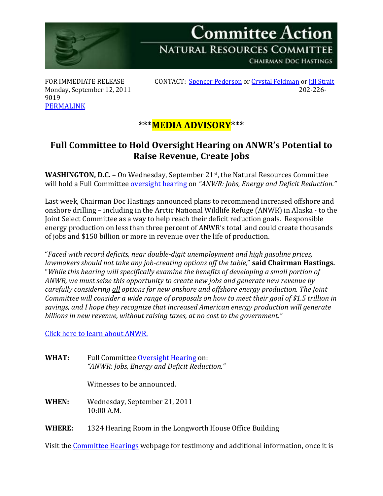

Monday, September 12, 2011 9019 [PERMALINK](http://naturalresources.house.gov/News/DocumentSingle.aspx?DocumentID=259442)

FOR IMMEDIATE RELEASE CONTACT: [Spencer Pederson](mailto:spencer.pederson@mail.house.gov) or [Crystal Feldman](mailto:crystal.feldman@mail.house.gov) or [Jill Strait](mailto:jill.strait@mail.house.gov)<br>Monday, September 12, 2011

## **\*\*\*MEDIA ADVISORY\*\*\***

## **Full Committee to Hold Oversight Hearing on ANWR's Potential to Raise Revenue, Create Jobs**

**WASHINGTON, D.C. -** On Wednesday, September 21<sup>st</sup>, the Natural Resources Committee will hold a Full Committee [oversight hearing](http://naturalresources.house.gov/Calendar/EventSingle.aspx?EventID=259446) on *"ANWR: Jobs, Energy and Deficit Reduction."*

Last week, Chairman Doc Hastings announced plans to recommend increased offshore and onshore drilling – including in the Arctic National Wildlife Refuge (ANWR) in Alaska - to the Joint Select Committee as a way to help reach their deficit reduction goals. Responsible energy production on less than three percent of ANWR's total land could create thousands of jobs and \$150 billion or more in revenue over the life of production.

"*Faced with record deficits, near double-digit unemployment and high gasoline prices, lawmakers should not take any job-creating options off the table*," **said Chairman Hastings.** "*While this hearing will specifically examine the benefits of developing a small portion of ANWR, we must seize this opportunity to create new jobs and generate new revenue by carefully considering all options for new onshore and offshore energy production. The Joint Committee will consider a wide range of proposals on how to meet their goal of \$1.5 trillion in savings, and I hope they recognize that increased American energy production will generate billions in new revenue, without raising taxes, at no cost to the government."*

[Click here to learn](http://naturalresources.house.gov/ANWR) about ANWR.

**WHAT:** Full Committee **Oversight Hearing on:** *"ANWR: Jobs, Energy and Deficit Reduction."*

Witnesses to be announced.

**WHEN:** Wednesday, September 21, 2011 10:00 A.M.

**WHERE:** 1324 Hearing Room in the Longworth House Office Building

Visit the [Committee Hearings](http://naturalresources.house.gov/Calendar/List.aspx) webpage for testimony and additional information, once it is